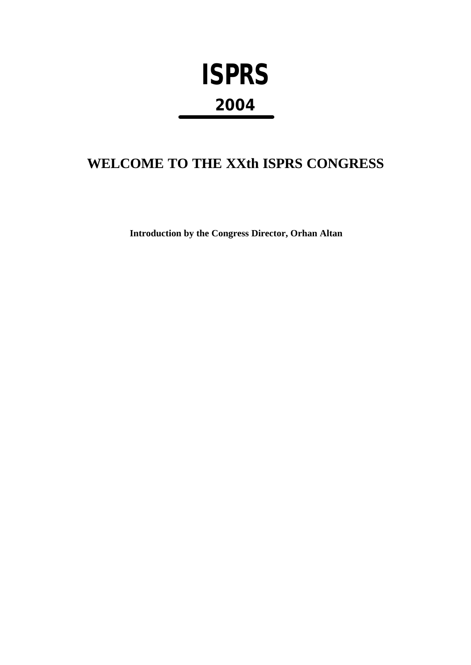## **ISPRS 2004**

## **WELCOME TO THE XXth ISPRS CONGRESS**

**Introduction by the Congress Director, Orhan Altan**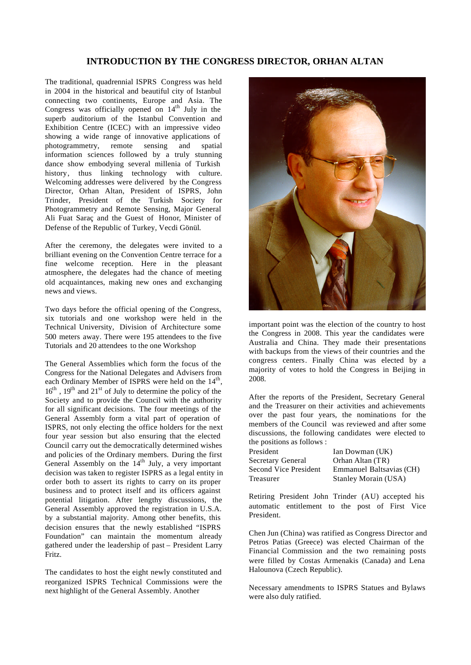## **INTRODUCTION BY THE CONGRESS DIRECTOR, ORHAN ALTAN**

The traditional, quadrennial ISPRS Congress was held in 2004 in the historical and beautiful city of Istanbul connecting two continents, Europe and Asia. The Congress was officially opened on  $14<sup>th</sup>$  July in the superb auditorium of the Istanbul Convention and Exhibition Centre (ICEC) with an impressive video showing a wide range of innovative applications of photogrammetry, remote sensing and spatial information sciences followed by a truly stunning dance show embodying several millenia of Turkish history, thus linking technology with culture. Welcoming addresses were delivered by the Congress Director, Orhan Altan, President of ISPRS, John Trinder, President of the Turkish Society for Photogrammetry and Remote Sensing, Major General Ali Fuat Saraç and the Guest of Honor, Minister of Defense of the Republic of Turkey, Vecdi Gönül.

After the ceremony, the delegates were invited to a brilliant evening on the Convention Centre terrace for a fine welcome reception. Here in the pleasant atmosphere, the delegates had the chance of meeting old acquaintances, making new ones and exchanging news and views.

Two days before the official opening of the Congress, six tutorials and one workshop were held in the Technical University, Division of Architecture some 500 meters away. There were 195 attendees to the five Tutorials and 20 attendees to the one Workshop

The General Assemblies which form the focus of the Congress for the National Delegates and Advisers from each Ordinary Member of ISPRS were held on the  $14<sup>th</sup>$ , 16<sup>th</sup>, 19<sup>th</sup> and 21<sup>st</sup> of July to determine the policy of the Society and to provide the Council with the authority for all significant decisions. The four meetings of the General Assembly form a vital part of operation of ISPRS, not only electing the office holders for the next four year session but also ensuring that the elected Council carry out the democratically determined wishes and policies of the Ordinary members. During the first General Assembly on the  $14<sup>th</sup>$  July, a very important decision was taken to register ISPRS as a legal entity in order both to assert its rights to carry on its proper business and to protect itself and its officers against potential litigation. After lengthy discussions, the General Assembly approved the registration in U.S.A. by a substantial majority. Among other benefits, this decision ensures that the newly established "ISPRS Foundation" can maintain the momentum already gathered under the leadership of past – President Larry Fritz.

The candidates to host the eight newly constituted and reorganized ISPRS Technical Commissions were the next highlight of the General Assembly. Another



important point was the election of the country to host the Congress in 2008. This year the candidates were Australia and China. They made their presentations with backups from the views of their countries and the congress centers. Finally China was elected by a majority of votes to hold the Congress in Beijing in 2008.

After the reports of the President, Secretary General and the Treasurer on their activities and achievements over the past four years, the nominations for the members of the Council was reviewed and after some discussions, the following candidates were elected to the positions as follows :

President Ian Dowman (UK) Secretary General Orhan Altan (TR)

Second Vice President Emmanuel Baltsavias (CH) Treasurer Stanley Morain (USA)

Retiring President John Trinder (AU) accepted his automatic entitlement to the post of First Vice President.

Chen Jun (China) was ratified as Congress Director and Petros Patias (Greece) was elected Chairman of the Financial Commission and the two remaining posts were filled by Costas Armenakis (Canada) and Lena Halounova (Czech Republic).

Necessary amendments to ISPRS Statues and Bylaws were also duly ratified.